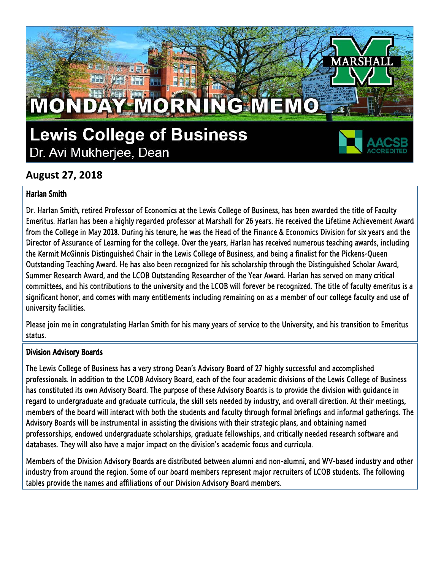## **Lewis College of Business** Dr. Avi Mukherjee, Dean

MONDAY MORNING MEMO



RSF

### **August 27, 2018**

#### Harlan Smith

Dr. Harlan Smith, retired Professor of Economics at the Lewis College of Business, has been awarded the title of Faculty Emeritus. Harlan has been a highly regarded professor at Marshall for 26 years. He received the Lifetime Achievement Award from the College in May 2018. During his tenure, he was the Head of the Finance & Economics Division for six years and the Director of Assurance of Learning for the college. Over the years, Harlan has received numerous teaching awards, including the Kermit McGinnis Distinguished Chair in the Lewis College of Business, and being a finalist for the Pickens-Queen Outstanding Teaching Award. He has also been recognized for his scholarship through the Distinguished Scholar Award, Summer Research Award, and the LCOB Outstanding Researcher of the Year Award. Harlan has served on many critical committees, and his contributions to the university and the LCOB will forever be recognized. The title of faculty emeritus is a significant honor, and comes with many entitlements including remaining on as a member of our college faculty and use of university facilities.

Please join me in congratulating Harlan Smith for his many years of service to the University, and his transition to Emeritus status.

#### Division Advisory Boards

The Lewis College of Business has a very strong Dean's Advisory Board of 27 highly successful and accomplished professionals. In addition to the LCOB Advisory Board, each of the four academic divisions of the Lewis College of Business has constituted its own Advisory Board. The purpose of these Advisory Boards is to provide the division with guidance in regard to undergraduate and graduate curricula, the skill sets needed by industry, and overall direction. At their meetings, members of the board will interact with both the students and faculty through formal briefings and informal gatherings. The Advisory Boards will be instrumental in assisting the divisions with their strategic plans, and obtaining named professorships, endowed undergraduate scholarships, graduate fellowships, and critically needed research software and databases. They will also have a major impact on the division's academic focus and curricula.

Members of the Division Advisory Boards are distributed between alumni and non-alumni, and WV-based industry and other industry from around the region. Some of our board members represent major recruiters of LCOB students. The following tables provide the names and affiliations of our Division Advisory Board members.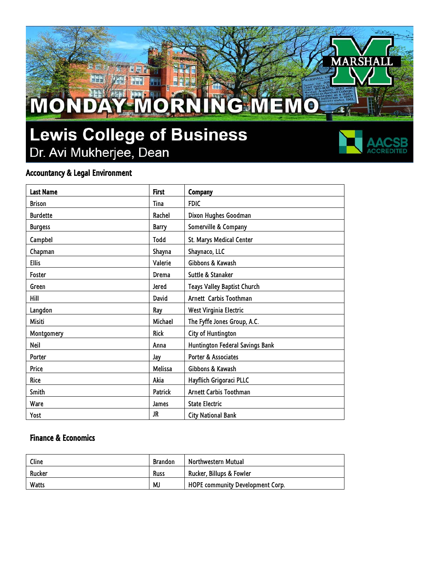# **Lewis College of Business** Dr. Avi Mukherjee, Dean

MONDAY MORNING MEMO



**ARSHA** 

 $\overline{\mathbf{r}}$ 

#### Accountancy & Legal Environment

| <b>Last Name</b> | <b>First</b> | Company                         |
|------------------|--------------|---------------------------------|
| <b>Brison</b>    | Tina         | <b>FDIC</b>                     |
| <b>Burdette</b>  | Rachel       | Dixon Hughes Goodman            |
| <b>Burgess</b>   | <b>Barry</b> | Somerville & Company            |
| Campbel          | Todd         | St. Marys Medical Center        |
| Chapman          | Shayna       | Shaynaco, LLC                   |
| <b>Ellis</b>     | Valerie      | Gibbons & Kawash                |
| Foster           | Drema        | Suttle & Stanaker               |
| Green            | Jered        | Teays Valley Baptist Church     |
| Hill             | David        | Arnett Carbis Toothman          |
| Langdon          | Ray          | West Virginia Electric          |
| Misiti           | Michael      | The Fyffe Jones Group, A.C.     |
| Montgomery       | <b>Rick</b>  | City of Huntington              |
| Neil             | Anna         | Huntington Federal Savings Bank |
| Porter           | Jay          | <b>Porter &amp; Associates</b>  |
| Price            | Melissa      | Gibbons & Kawash                |
| Rice             | Akia         | Hayflich Grigoraci PLLC         |
| Smith            | Patrick      | Arnett Carbis Toothman          |
| Ware             | James        | <b>State Electric</b>           |
| Yost             | JR.          | <b>City National Bank</b>       |

#### Finance & Economics

| Cline  | <b>Brandon</b> | Northwestern Mutual                     |
|--------|----------------|-----------------------------------------|
| Rucker | Russ           | Rucker, Billups & Fowler                |
| Watts  | MJ             | <b>HOPE community Development Corp.</b> |